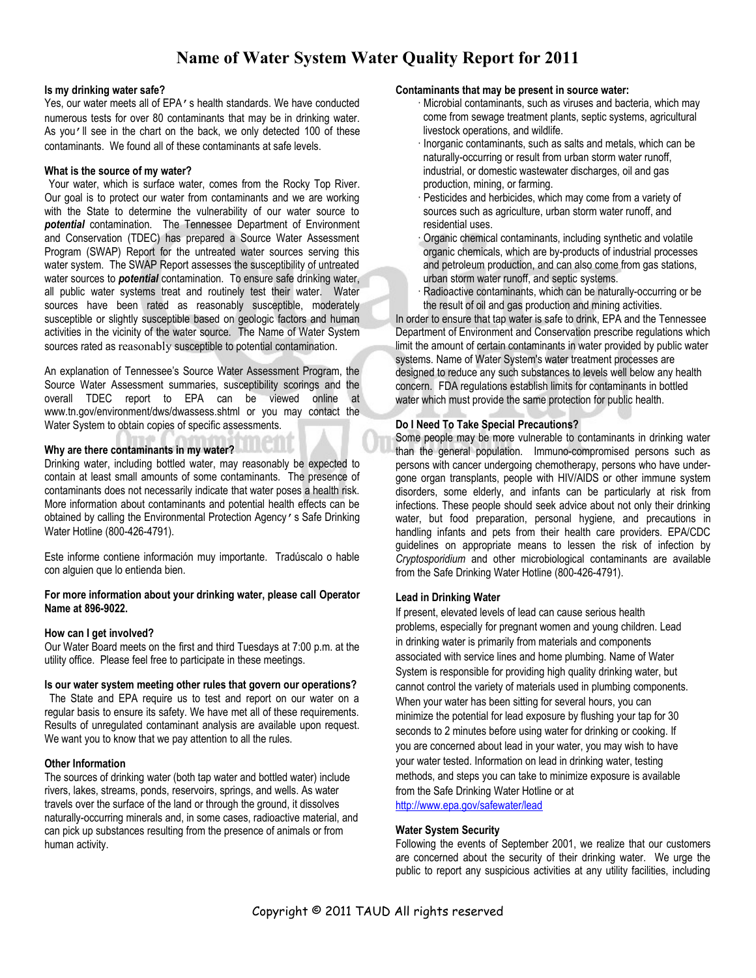# <span id="page-0-0"></span>**Name of Water System Water Quality Report for 2011**

#### **Is my drinking water safe?**

Yes, our water meets all of EPA's health standards. We have conducted numerous tests for over 80 contaminants that may be in drinking water. As you'll see in the chart on the back, we only detected 100 of these contaminants. We found all of these contaminants at safe levels.

#### **What is the source of my water?**

Your water, which is surface water, comes from the Rocky Top River. Our goal is to protect our water from contaminants and we are working with the State to determine the vulnerability of our water source to *potential* contamination. The Tennessee Department of Environment and Conservation (TDEC) has prepared a Source Water Assessment Program (SWAP) Report for the untreated water sources serving this water system. The SWAP Report assesses the susceptibility of untreated water sources to *potential* contamination. To ensure safe drinking water, all public water systems treat and routinely test their water. Water sources have been rated as reasonably susceptible, moderately susceptible or slightly susceptible based on geologic factors and human activities in the vicinity of the water source. The [Name of Water System](#page-0-0) sources rated as reasonably susceptible to potential contamination.

An explanation of Tennessee's Source Water Assessment Program, the Source Water Assessment summaries, susceptibility scorings and the overall TDEC report to EPA can be viewed online at www.tn.gov/environment/dws/dwassess.shtml or you may contact the Water System to obtain copies of specific assessments.

#### **Why are there contaminants in my water?**

Drinking water, including bottled water, may reasonably be expected to contain at least small amounts of some contaminants. The presence of contaminants does not necessarily indicate that water poses a health risk. More information about contaminants and potential health effects can be obtained by calling the Environmental Protection Agency's Safe Drinking Water Hotline (800-426-4791).

Este informe contiene información muy importante. Tradúscalo o hable con alguien que lo entienda bien.

#### **For more information about your drinking water, please call Operator Name at 896-9022.**

#### **How can I get involved?**

Our Water Board meets on the first and third Tuesdays at 7:00 p.m. at the utility office. Please feel free to participate in these meetings.

#### **Is our water system meeting other rules that govern our operations?**

The State and EPA require us to test and report on our water on a regular basis to ensure its safety. We have met all of these requirements. Results of unregulated contaminant analysis are available upon request. We want you to know that we pay attention to all the rules.

#### **Other Information**

The sources of drinking water (both tap water and bottled water) include rivers, lakes, streams, ponds, reservoirs, springs, and wells. As water travels over the surface of the land or through the ground, it dissolves naturally-occurring minerals and, in some cases, radioactive material, and can pick up substances resulting from the presence of animals or from human activity.

#### **Contaminants that may be present in source water:**

- · Microbial contaminants, such as viruses and bacteria, which may come from sewage treatment plants, septic systems, agricultural livestock operations, and wildlife.
- · Inorganic contaminants, such as salts and metals, which can be naturally-occurring or result from urban storm water runoff, industrial, or domestic wastewater discharges, oil and gas production, mining, or farming.
- · Pesticides and herbicides, which may come from a variety of sources such as agriculture, urban storm water runoff, and residential uses.
- · Organic chemical contaminants, including synthetic and volatile organic chemicals, which are by-products of industrial processes and petroleum production, and can also come from gas stations, urban storm water runoff, and septic systems.
- Radioactive contaminants, which can be naturally-occurring or be the result of oil and gas production and mining activities.

In order to ensure that tap water is safe to drink, EPA and the Tennessee Department of Environment and Conservation prescribe regulations which limit the amount of certain contaminants in water provided by public water systems. [Name of Water System'](#page-0-0)s water treatment processes are designed to reduce any such substances to levels well below any health concern.FDA regulations establish limits for contaminants in bottled water which must provide the same protection for public health.

#### **Do I Need To Take Special Precautions?**

Some people may be more vulnerable to contaminants in drinking water than the general population. Immuno-compromised persons such as persons with cancer undergoing chemotherapy, persons who have undergone organ transplants, people with HIV/AIDS or other immune system disorders, some elderly, and infants can be particularly at risk from infections. These people should seek advice about not only their drinking water, but food preparation, personal hygiene, and precautions in handling infants and pets from their health care providers. EPA/CDC guidelines on appropriate means to lessen the risk of infection by *Cryptosporidium* and other microbiological contaminants are available from the Safe Drinking Water Hotline (800-426-4791).

### **Lead in Drinking Water**

If present, elevated levels of lead can cause serious health problems, especially for pregnant women and young children. Lead in drinking water is primarily from materials and components associated with service lines and home plumbing. [Name of Water](#page-0-0)  [System](#page-0-0) is responsible for providing high quality drinking water, but cannot control the variety of materials used in plumbing components. When your water has been sitting for several hours, you can minimize the potential for lead exposure by flushing your tap for 30 seconds to 2 minutes before using water for drinking or cooking. If you are concerned about lead in your water, you may wish to have your water tested. Information on lead in drinking water, testing methods, and steps you can take to minimize exposure is available from the Safe Drinking Water Hotline or at <http://www.epa.gov/safewater/lead>

#### **Water System Security**

Following the events of September 2001, we realize that our customers are concerned about the security of their drinking water. We urge the public to report any suspicious activities at any utility facilities, including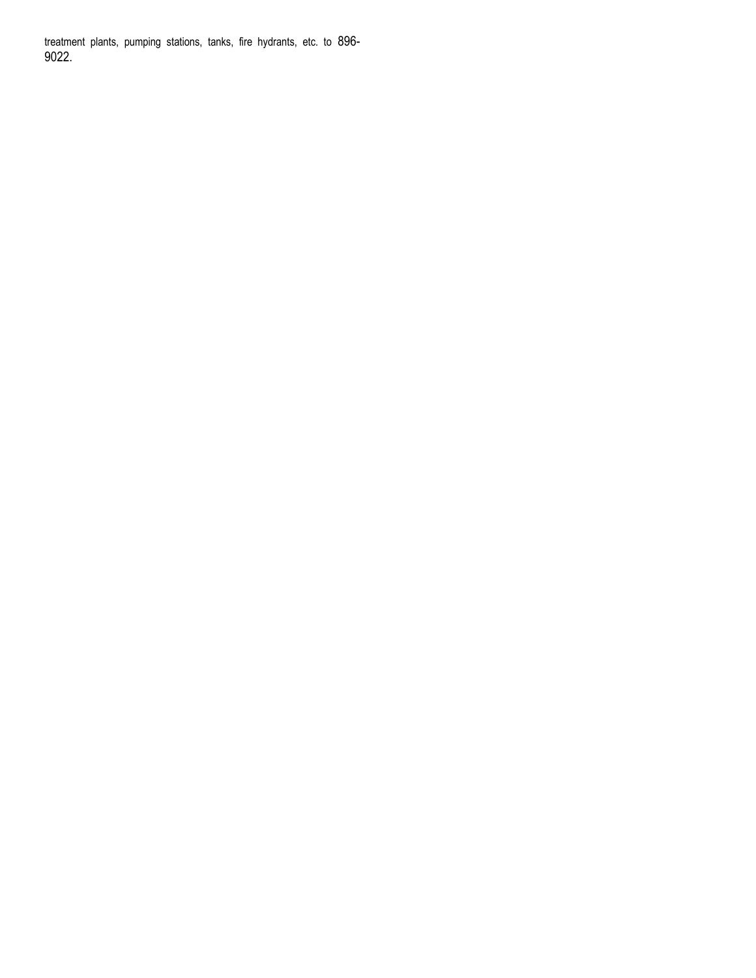treatment plants, pumping stations, tanks, fire hydrants, etc. to 896- 9022.